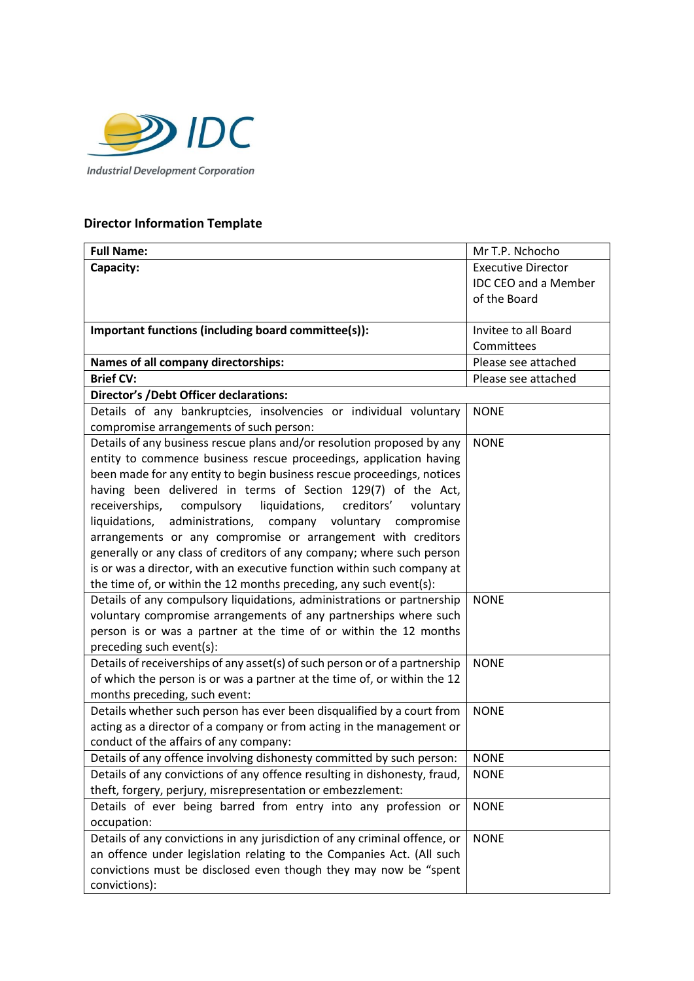

## **Director Information Template**

| <b>Full Name:</b>                                                           | Mr T.P. Nchocho           |  |
|-----------------------------------------------------------------------------|---------------------------|--|
| Capacity:                                                                   | <b>Executive Director</b> |  |
|                                                                             | IDC CEO and a Member      |  |
|                                                                             | of the Board              |  |
|                                                                             |                           |  |
| Important functions (including board committee(s)):                         | Invitee to all Board      |  |
|                                                                             | Committees                |  |
| Names of all company directorships:                                         | Please see attached       |  |
| <b>Brief CV:</b>                                                            | Please see attached       |  |
| <b>Director's /Debt Officer declarations:</b>                               |                           |  |
| Details of any bankruptcies, insolvencies or individual voluntary           | <b>NONE</b>               |  |
| compromise arrangements of such person:                                     |                           |  |
| Details of any business rescue plans and/or resolution proposed by any      | <b>NONE</b>               |  |
| entity to commence business rescue proceedings, application having          |                           |  |
| been made for any entity to begin business rescue proceedings, notices      |                           |  |
| having been delivered in terms of Section 129(7) of the Act,                |                           |  |
| liquidations,<br>creditors'<br>receiverships,<br>compulsory<br>voluntary    |                           |  |
| liquidations,<br>administrations,<br>company voluntary compromise           |                           |  |
| arrangements or any compromise or arrangement with creditors                |                           |  |
| generally or any class of creditors of any company; where such person       |                           |  |
| is or was a director, with an executive function within such company at     |                           |  |
| the time of, or within the 12 months preceding, any such event(s):          |                           |  |
| Details of any compulsory liquidations, administrations or partnership      | <b>NONE</b>               |  |
| voluntary compromise arrangements of any partnerships where such            |                           |  |
| person is or was a partner at the time of or within the 12 months           |                           |  |
| preceding such event(s):                                                    |                           |  |
| Details of receiverships of any asset(s) of such person or of a partnership | <b>NONE</b>               |  |
| of which the person is or was a partner at the time of, or within the 12    |                           |  |
| months preceding, such event:                                               |                           |  |
| Details whether such person has ever been disqualified by a court from      | <b>NONE</b>               |  |
| acting as a director of a company or from acting in the management or       |                           |  |
| conduct of the affairs of any company:                                      |                           |  |
| Details of any offence involving dishonesty committed by such person:       | <b>NONE</b>               |  |
| Details of any convictions of any offence resulting in dishonesty, fraud,   | <b>NONE</b>               |  |
| theft, forgery, perjury, misrepresentation or embezzlement:                 |                           |  |
| Details of ever being barred from entry into any profession or              | <b>NONE</b>               |  |
| occupation:                                                                 |                           |  |
| Details of any convictions in any jurisdiction of any criminal offence, or  | <b>NONE</b>               |  |
| an offence under legislation relating to the Companies Act. (All such       |                           |  |
| convictions must be disclosed even though they may now be "spent            |                           |  |
| convictions):                                                               |                           |  |